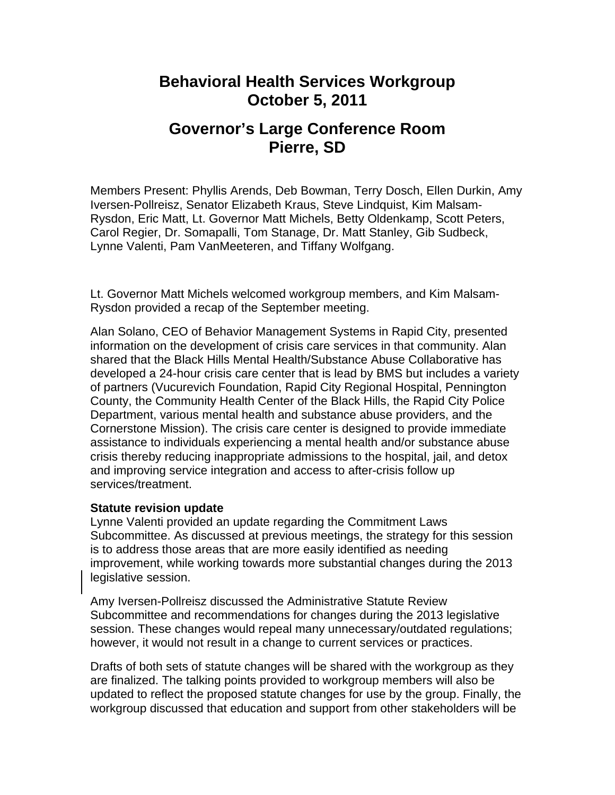## **Behavioral Health Services Workgroup October 5, 2011**

# **Governor's Large Conference Room Pierre, SD**

Members Present: Phyllis Arends, Deb Bowman, Terry Dosch, Ellen Durkin, Amy Iversen-Pollreisz, Senator Elizabeth Kraus, Steve Lindquist, Kim Malsam-Rysdon, Eric Matt, Lt. Governor Matt Michels, Betty Oldenkamp, Scott Peters, Carol Regier, Dr. Somapalli, Tom Stanage, Dr. Matt Stanley, Gib Sudbeck, Lynne Valenti, Pam VanMeeteren, and Tiffany Wolfgang.

Lt. Governor Matt Michels welcomed workgroup members, and Kim Malsam-Rysdon provided a recap of the September meeting.

Alan Solano, CEO of Behavior Management Systems in Rapid City, presented information on the development of crisis care services in that community. Alan shared that the Black Hills Mental Health/Substance Abuse Collaborative has developed a 24-hour crisis care center that is lead by BMS but includes a variety of partners (Vucurevich Foundation, Rapid City Regional Hospital, Pennington County, the Community Health Center of the Black Hills, the Rapid City Police Department, various mental health and substance abuse providers, and the Cornerstone Mission). The crisis care center is designed to provide immediate assistance to individuals experiencing a mental health and/or substance abuse crisis thereby reducing inappropriate admissions to the hospital, jail, and detox and improving service integration and access to after-crisis follow up services/treatment.

## **Statute revision update**

Lynne Valenti provided an update regarding the Commitment Laws Subcommittee. As discussed at previous meetings, the strategy for this session is to address those areas that are more easily identified as needing improvement, while working towards more substantial changes during the 2013 legislative session.

Amy Iversen-Pollreisz discussed the Administrative Statute Review Subcommittee and recommendations for changes during the 2013 legislative session. These changes would repeal many unnecessary/outdated regulations; however, it would not result in a change to current services or practices.

Drafts of both sets of statute changes will be shared with the workgroup as they are finalized. The talking points provided to workgroup members will also be updated to reflect the proposed statute changes for use by the group. Finally, the workgroup discussed that education and support from other stakeholders will be